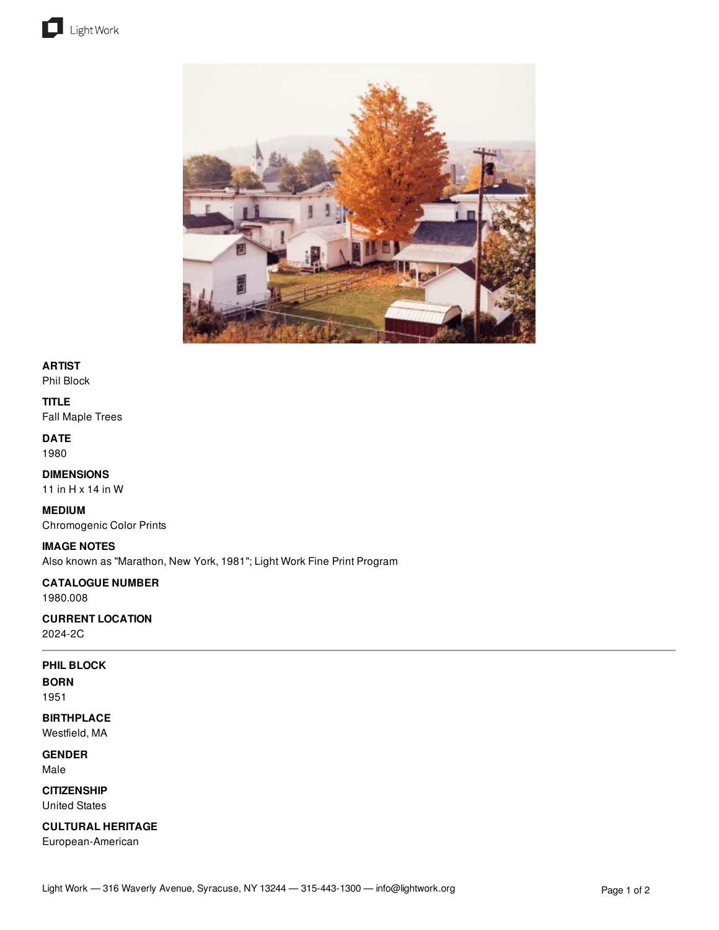



#### **ARTIST**

Phil Block

#### **TITLE**

Fall Maple Trees

## **DATE**

1980

## **DIMENSIONS**

11 in H x 14 in W

### **MEDIUM** Chromogenic Color Prints

**IMAGE NOTES** Also known as "Marathon, New York, 1981"; Light Work Fine Print Program

# **CATALOGUE NUMBER**

1980.008

# **CURRENT LOCATION**

2024-2C

## **PHIL BLOCK**

**BORN**

# 1951

**BIRTHPLACE** Westfield, MA

**GENDER**

Male

**CITIZENSHIP** United States

## **CULTURAL HERITAGE**

European-American